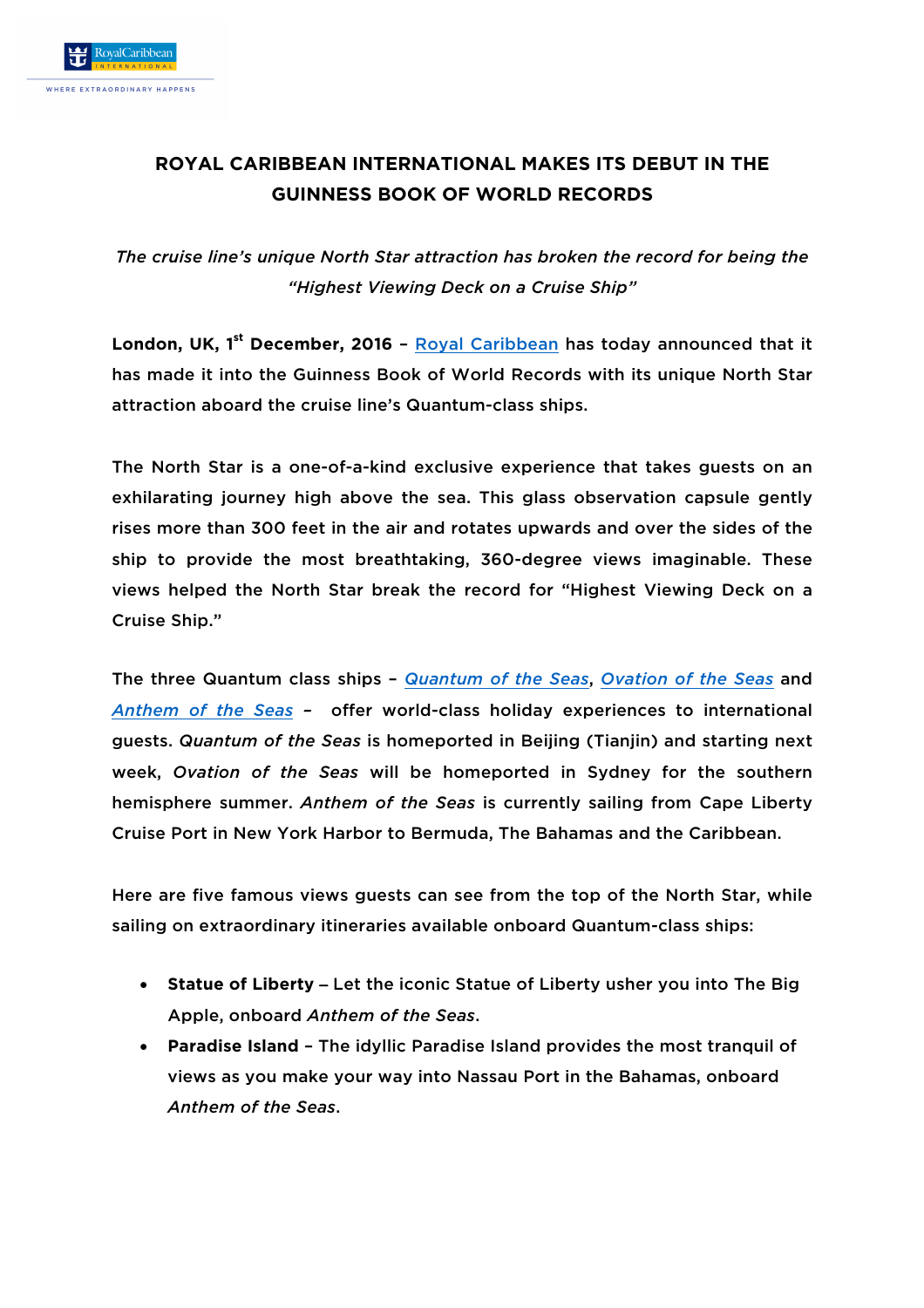## **ROYAL CARIBBEAN INTERNATIONAL MAKES ITS DEBUT IN THE GUINNESS BOOK OF WORLD RECORDS**

*The cruise line's unique North Star attraction has broken the record for being the "Highest Viewing Deck on a Cruise Ship"*

**London, UK, 1 st December, 2016** – Royal Caribbean has today announced that it has made it into the Guinness Book of World Records with its unique North Star attraction aboard the cruise line's Quantum-class ships.

The North Star is a one-of-a-kind exclusive experience that takes guests on an exhilarating journey high above the sea. This glass observation capsule gently rises more than 300 feet in the air and rotates upwards and over the sides of the ship to provide the most breathtaking, 360-degree views imaginable. These views helped the North Star break the record for "Highest Viewing Deck on a Cruise Ship."

The three Quantum class ships – *Quantum of the Seas*, *Ovation of the Seas* and *Anthem of the Seas –* offer world-class holiday experiences to international guests. *Quantum of the Seas* is homeported in Beijing (Tianjin) and starting next week, *Ovation of the Seas* will be homeported in Sydney for the southern hemisphere summer. *Anthem of the Seas* is currently sailing from Cape Liberty Cruise Port in New York Harbor to Bermuda, The Bahamas and the Caribbean.

Here are five famous views guests can see from the top of the North Star, while sailing on extraordinary itineraries available onboard Quantum-class ships:

- **Statue of Liberty**  Let the iconic Statue of Liberty usher you into The Big Apple, onboard *Anthem of the Seas*.
- **Paradise Island** The idyllic Paradise Island provides the most tranquil of views as you make your way into Nassau Port in the Bahamas, onboard *Anthem of the Seas*.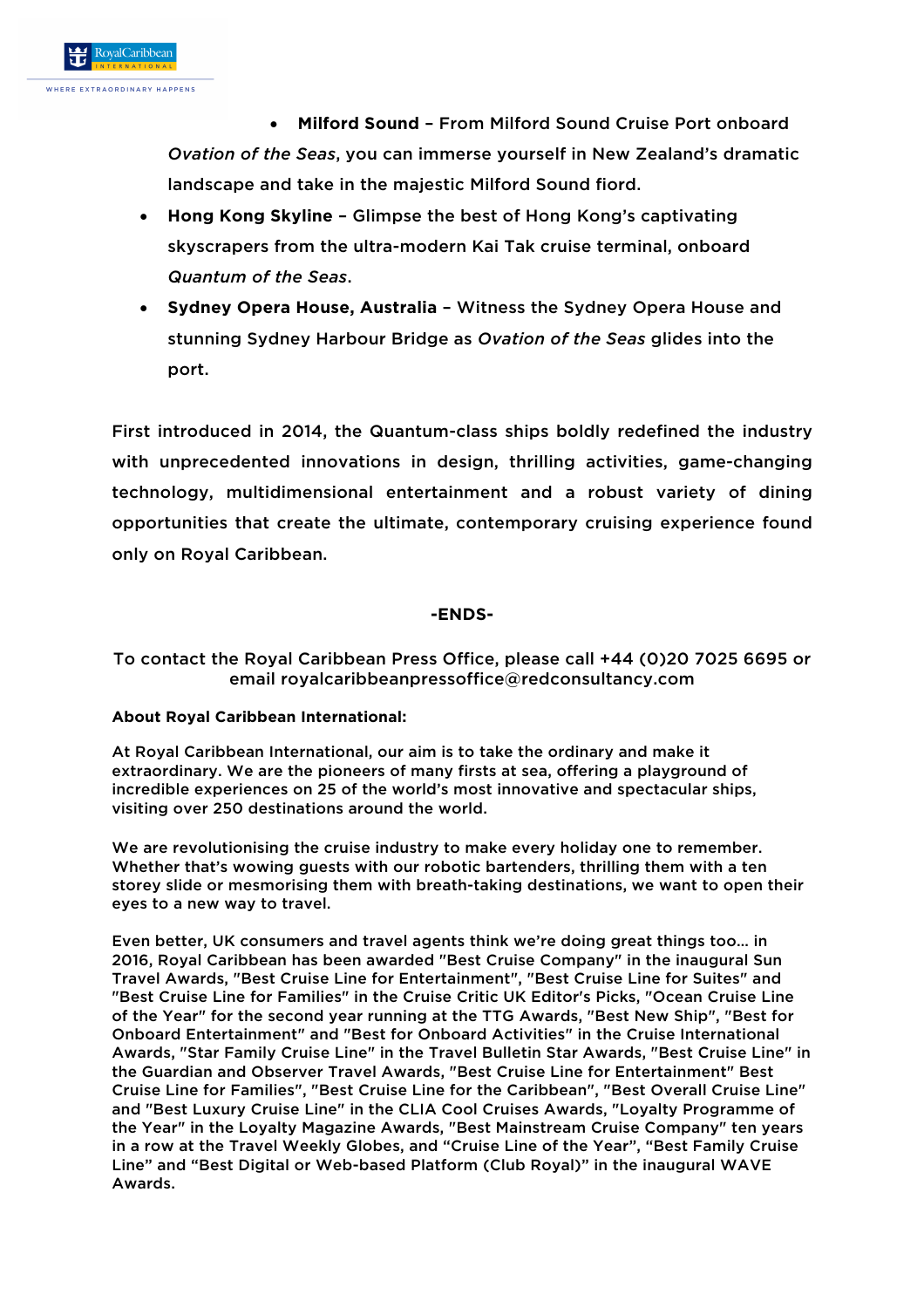• **Milford Sound** – From Milford Sound Cruise Port onboard *Ovation of the Seas*, you can immerse yourself in New Zealand's dramatic landscape and take in the majestic Milford Sound fiord.

- **Hong Kong Skyline** Glimpse the best of Hong Kong's captivating skyscrapers from the ultra-modern Kai Tak cruise terminal, onboard *Quantum of the Seas*.
- **Sydney Opera House, Australia** Witness the Sydney Opera House and stunning Sydney Harbour Bridge as *Ovation of the Seas* glides into the port.

First introduced in 2014, the Quantum-class ships boldly redefined the industry with unprecedented innovations in design, thrilling activities, game-changing technology, multidimensional entertainment and a robust variety of dining opportunities that create the ultimate, contemporary cruising experience found only on Royal Caribbean.

## **-ENDS-**

## To contact the Royal Caribbean Press Office, please call +44 (0)20 7025 6695 or email royalcaribbeanpressoffice@redconsultancy.com

## **About Royal Caribbean International:**

At Royal Caribbean International, our aim is to take the ordinary and make it extraordinary. We are the pioneers of many firsts at sea, offering a playground of incredible experiences on 25 of the world's most innovative and spectacular ships, visiting over 250 destinations around the world.

We are revolutionising the cruise industry to make every holiday one to remember. Whether that's wowing guests with our robotic bartenders, thrilling them with a ten storey slide or mesmorising them with breath-taking destinations, we want to open their eyes to a new way to travel.

Even better, UK consumers and travel agents think we're doing great things too… in 2016, Royal Caribbean has been awarded "Best Cruise Company" in the inaugural Sun Travel Awards, "Best Cruise Line for Entertainment", "Best Cruise Line for Suites" and "Best Cruise Line for Families" in the Cruise Critic UK Editor's Picks, "Ocean Cruise Line of the Year" for the second year running at the TTG Awards, "Best New Ship", "Best for Onboard Entertainment" and "Best for Onboard Activities" in the Cruise International Awards, "Star Family Cruise Line" in the Travel Bulletin Star Awards, "Best Cruise Line" in the Guardian and Observer Travel Awards, "Best Cruise Line for Entertainment" Best Cruise Line for Families", "Best Cruise Line for the Caribbean", "Best Overall Cruise Line" and "Best Luxury Cruise Line" in the CLIA Cool Cruises Awards, "Loyalty Programme of the Year" in the Loyalty Magazine Awards, "Best Mainstream Cruise Company" ten years in a row at the Travel Weekly Globes, and "Cruise Line of the Year", "Best Family Cruise Line" and "Best Digital or Web-based Platform (Club Royal)" in the inaugural WAVE Awards.